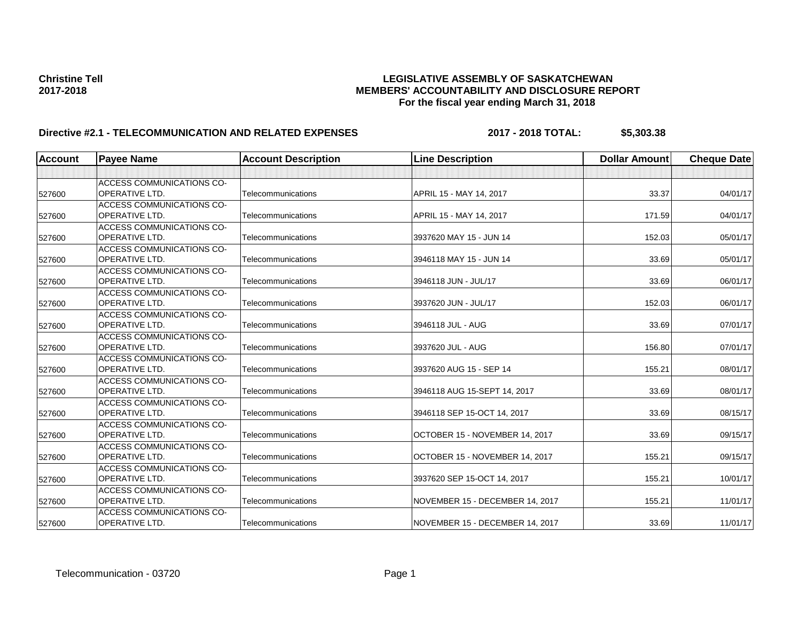| <b>Account</b> | <b>Payee Name</b>                | <b>Account Description</b> | <b>Line Description</b>         | <b>Dollar Amount</b> | <b>Cheque Date</b> |
|----------------|----------------------------------|----------------------------|---------------------------------|----------------------|--------------------|
|                |                                  |                            |                                 |                      |                    |
|                | ACCESS COMMUNICATIONS CO-        |                            |                                 |                      |                    |
| 527600         | <b>OPERATIVE LTD.</b>            | Telecommunications         | APRIL 15 - MAY 14, 2017         | 33.37                | 04/01/17           |
|                | <b>ACCESS COMMUNICATIONS CO-</b> |                            |                                 |                      |                    |
| 527600         | <b>OPERATIVE LTD.</b>            | Telecommunications         | APRIL 15 - MAY 14, 2017         | 171.59               | 04/01/17           |
|                | <b>ACCESS COMMUNICATIONS CO-</b> |                            |                                 |                      |                    |
| 527600         | OPERATIVE LTD.                   | Telecommunications         | 3937620 MAY 15 - JUN 14         | 152.03               | 05/01/17           |
|                | ACCESS COMMUNICATIONS CO-        |                            |                                 |                      |                    |
| 527600         | <b>OPERATIVE LTD.</b>            | Telecommunications         | 3946118 MAY 15 - JUN 14         | 33.69                | 05/01/17           |
|                | <b>ACCESS COMMUNICATIONS CO-</b> |                            |                                 |                      |                    |
| 527600         | <b>OPERATIVE LTD.</b>            | Telecommunications         | 3946118 JUN - JUL/17            | 33.69                | 06/01/17           |
|                | ACCESS COMMUNICATIONS CO-        |                            |                                 |                      |                    |
| 527600         | OPERATIVE LTD.                   | Telecommunications         | 3937620 JUN - JUL/17            | 152.03               | 06/01/17           |
|                | <b>ACCESS COMMUNICATIONS CO-</b> |                            |                                 |                      |                    |
| 527600         | <b>OPERATIVE LTD.</b>            | Telecommunications         | 3946118 JUL - AUG               | 33.69                | 07/01/17           |
|                | <b>ACCESS COMMUNICATIONS CO-</b> |                            |                                 |                      |                    |
| 527600         | <b>OPERATIVE LTD.</b>            | Telecommunications         | 3937620 JUL - AUG               | 156.80               | 07/01/17           |
|                | ACCESS COMMUNICATIONS CO-        |                            |                                 |                      |                    |
| 527600         | <b>OPERATIVE LTD.</b>            | Telecommunications         | 3937620 AUG 15 - SEP 14         | 155.21               | 08/01/17           |
|                | <b>ACCESS COMMUNICATIONS CO-</b> |                            |                                 |                      |                    |
| 527600         | <b>OPERATIVE LTD.</b>            | Telecommunications         | 3946118 AUG 15-SEPT 14, 2017    | 33.69                | 08/01/17           |
|                | <b>ACCESS COMMUNICATIONS CO-</b> |                            |                                 |                      |                    |
| 527600         | <b>OPERATIVE LTD.</b>            | Telecommunications         | 3946118 SEP 15-OCT 14, 2017     | 33.69                | 08/15/17           |
|                | ACCESS COMMUNICATIONS CO-        |                            |                                 |                      |                    |
| 527600         | <b>OPERATIVE LTD.</b>            | Telecommunications         | OCTOBER 15 - NOVEMBER 14, 2017  | 33.69                | 09/15/17           |
|                | ACCESS COMMUNICATIONS CO-        |                            |                                 |                      |                    |
| 527600         | <b>OPERATIVE LTD.</b>            | Telecommunications         | OCTOBER 15 - NOVEMBER 14, 2017  | 155.21               | 09/15/17           |
|                | ACCESS COMMUNICATIONS CO-        |                            |                                 |                      |                    |
| 527600         | OPERATIVE LTD.                   | Telecommunications         | 3937620 SEP 15-OCT 14, 2017     | 155.21               | 10/01/17           |
|                | <b>ACCESS COMMUNICATIONS CO-</b> |                            |                                 |                      |                    |
| 527600         | <b>OPERATIVE LTD.</b>            | Telecommunications         | NOVEMBER 15 - DECEMBER 14, 2017 | 155.21               | 11/01/17           |
|                | <b>ACCESS COMMUNICATIONS CO-</b> |                            |                                 |                      |                    |
| 527600         | OPERATIVE LTD.                   | Telecommunications         | NOVEMBER 15 - DECEMBER 14, 2017 | 33.69                | 11/01/17           |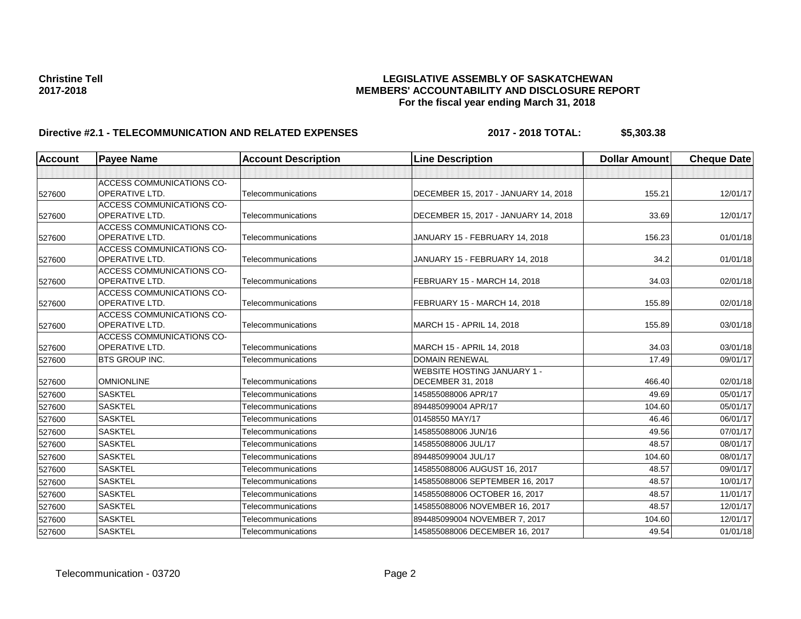| <b>Account</b> | <b>Payee Name</b>                                  | <b>Account Description</b> | <b>Line Description</b>              | <b>Dollar Amount</b> | <b>Cheque Date</b> |
|----------------|----------------------------------------------------|----------------------------|--------------------------------------|----------------------|--------------------|
|                |                                                    |                            |                                      |                      |                    |
|                | <b>ACCESS COMMUNICATIONS CO-</b>                   |                            |                                      |                      |                    |
| 527600         | <b>OPERATIVE LTD.</b>                              | Telecommunications         | DECEMBER 15, 2017 - JANUARY 14, 2018 | 155.21               | 12/01/17           |
|                | <b>ACCESS COMMUNICATIONS CO-</b>                   |                            |                                      |                      |                    |
| 527600         | <b>OPERATIVE LTD.</b>                              | Telecommunications         | DECEMBER 15, 2017 - JANUARY 14, 2018 | 33.69                | 12/01/17           |
|                | <b>ACCESS COMMUNICATIONS CO-</b>                   |                            |                                      |                      |                    |
| 527600         | <b>OPERATIVE LTD.</b>                              | Telecommunications         | JANUARY 15 - FEBRUARY 14, 2018       | 156.23               | 01/01/18           |
|                | ACCESS COMMUNICATIONS CO-<br><b>OPERATIVE LTD.</b> | Telecommunications         |                                      |                      |                    |
| 527600         | ACCESS COMMUNICATIONS CO-                          |                            | JANUARY 15 - FEBRUARY 14, 2018       | 34.2                 | 01/01/18           |
| 527600         | <b>OPERATIVE LTD.</b>                              | Telecommunications         | FEBRUARY 15 - MARCH 14, 2018         | 34.03                | 02/01/18           |
|                | ACCESS COMMUNICATIONS CO-                          |                            |                                      |                      |                    |
| 527600         | OPERATIVE LTD.                                     | Telecommunications         | FEBRUARY 15 - MARCH 14, 2018         | 155.89               | 02/01/18           |
|                | ACCESS COMMUNICATIONS CO-                          |                            |                                      |                      |                    |
| 527600         | <b>OPERATIVE LTD.</b>                              | Telecommunications         | MARCH 15 - APRIL 14, 2018            | 155.89               | 03/01/18           |
|                | ACCESS COMMUNICATIONS CO-                          |                            |                                      |                      |                    |
| 527600         | <b>OPERATIVE LTD.</b>                              | Telecommunications         | MARCH 15 - APRIL 14, 2018            | 34.03                | 03/01/18           |
| 527600         | <b>BTS GROUP INC.</b>                              | Telecommunications         | <b>DOMAIN RENEWAL</b>                | 17.49                | 09/01/17           |
|                |                                                    |                            | <b>WEBSITE HOSTING JANUARY 1 -</b>   |                      |                    |
| 527600         | <b>OMNIONLINE</b>                                  | Telecommunications         | <b>DECEMBER 31, 2018</b>             | 466.40               | 02/01/18           |
| 527600         | <b>SASKTEL</b>                                     | Telecommunications         | 145855088006 APR/17                  | 49.69                | 05/01/17           |
| 527600         | <b>SASKTEL</b>                                     | Telecommunications         | 894485099004 APR/17                  | 104.60               | 05/01/17           |
| 527600         | <b>SASKTEL</b>                                     | Telecommunications         | 01458550 MAY/17                      | 46.46                | 06/01/17           |
| 527600         | <b>SASKTEL</b>                                     | Telecommunications         | 145855088006 JUN/16                  | 49.56                | 07/01/17           |
| 527600         | <b>SASKTEL</b>                                     | Telecommunications         | 145855088006 JUL/17                  | 48.57                | 08/01/17           |
| 527600         | <b>SASKTEL</b>                                     | Telecommunications         | 894485099004 JUL/17                  | 104.60               | 08/01/17           |
| 527600         | <b>SASKTEL</b>                                     | Telecommunications         | 145855088006 AUGUST 16, 2017         | 48.57                | 09/01/17           |
| 527600         | <b>SASKTEL</b>                                     | Telecommunications         | 145855088006 SEPTEMBER 16, 2017      | 48.57                | 10/01/17           |
| 527600         | <b>SASKTEL</b>                                     | Telecommunications         | 145855088006 OCTOBER 16, 2017        | 48.57                | 11/01/17           |
| 527600         | <b>SASKTEL</b>                                     | Telecommunications         | 145855088006 NOVEMBER 16, 2017       | 48.57                | 12/01/17           |
| 527600         | <b>SASKTEL</b>                                     | Telecommunications         | 894485099004 NOVEMBER 7, 2017        | 104.60               | 12/01/17           |
| 527600         | <b>SASKTEL</b>                                     | Telecommunications         | 145855088006 DECEMBER 16, 2017       | 49.54                | 01/01/18           |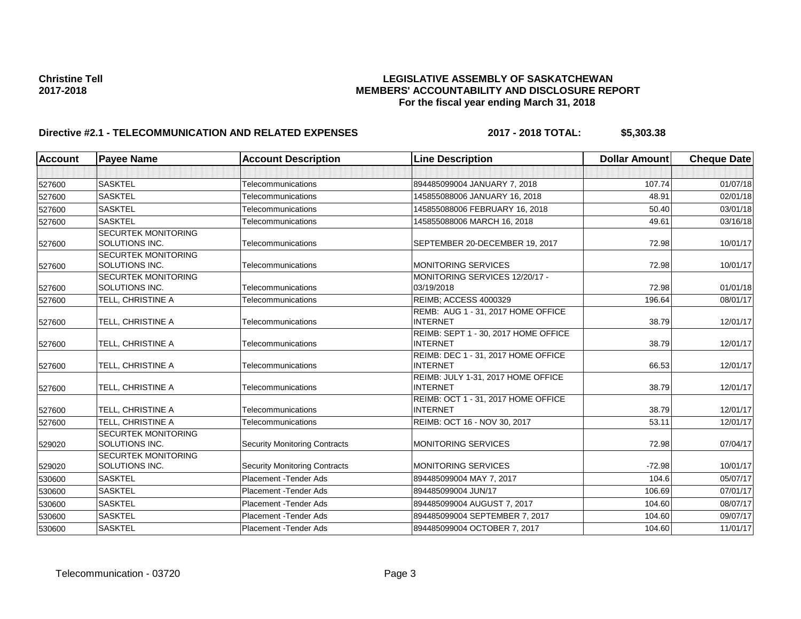| <b>Account</b> | <b>Payee Name</b>                            | <b>Account Description</b>           | <b>Line Description</b>                                 | <b>Dollar Amount</b> | <b>Cheque Date</b> |
|----------------|----------------------------------------------|--------------------------------------|---------------------------------------------------------|----------------------|--------------------|
|                |                                              |                                      |                                                         |                      |                    |
| 527600         | <b>SASKTEL</b>                               | Telecommunications                   | 894485099004 JANUARY 7, 2018                            | 107.74               | 01/07/18           |
| 527600         | <b>SASKTEL</b>                               | Telecommunications                   | 145855088006 JANUARY 16, 2018                           | 48.91                | 02/01/18           |
| 527600         | <b>SASKTEL</b>                               | <b>Telecommunications</b>            | 145855088006 FEBRUARY 16, 2018                          | 50.40                | 03/01/18           |
| 527600         | <b>SASKTEL</b>                               | Telecommunications                   | 145855088006 MARCH 16, 2018                             | 49.61                | 03/16/18           |
| 527600         | <b>SECURTEK MONITORING</b><br>SOLUTIONS INC. | Telecommunications                   | SEPTEMBER 20-DECEMBER 19, 2017                          | 72.98                | 10/01/17           |
| 527600         | <b>SECURTEK MONITORING</b><br>SOLUTIONS INC. | Telecommunications                   | <b>MONITORING SERVICES</b>                              | 72.98                | 10/01/17           |
| 527600         | <b>SECURTEK MONITORING</b><br>SOLUTIONS INC. | Telecommunications                   | MONITORING SERVICES 12/20/17 -<br>03/19/2018            | 72.98                | 01/01/18           |
| 527600         | TELL, CHRISTINE A                            | Telecommunications                   | <b>REIMB: ACCESS 4000329</b>                            | 196.64               | 08/01/17           |
| 527600         | TELL, CHRISTINE A                            | Telecommunications                   | REMB: AUG 1 - 31, 2017 HOME OFFICE<br><b>INTERNET</b>   | 38.79                | 12/01/17           |
| 527600         | TELL, CHRISTINE A                            | Telecommunications                   | REIMB: SEPT 1 - 30, 2017 HOME OFFICE<br><b>INTERNET</b> | 38.79                | 12/01/17           |
| 527600         | TELL, CHRISTINE A                            | Telecommunications                   | REIMB: DEC 1 - 31, 2017 HOME OFFICE<br><b>INTERNET</b>  | 66.53                | 12/01/17           |
| 527600         | TELL, CHRISTINE A                            | Telecommunications                   | REIMB: JULY 1-31, 2017 HOME OFFICE<br><b>INTERNET</b>   | 38.79                | 12/01/17           |
| 527600         | TELL, CHRISTINE A                            | Telecommunications                   | REIMB: OCT 1 - 31, 2017 HOME OFFICE<br><b>INTERNET</b>  | 38.79                | 12/01/17           |
| 527600         | TELL, CHRISTINE A                            | <b>Telecommunications</b>            | REIMB: OCT 16 - NOV 30, 2017                            | 53.11                | 12/01/17           |
| 529020         | <b>SECURTEK MONITORING</b><br>SOLUTIONS INC. | <b>Security Monitoring Contracts</b> | <b>MONITORING SERVICES</b>                              | 72.98                | 07/04/17           |
| 529020         | <b>SECURTEK MONITORING</b><br>SOLUTIONS INC. | <b>Security Monitoring Contracts</b> | MONITORING SERVICES                                     | $-72.98$             | 10/01/17           |
| 530600         | <b>SASKTEL</b>                               | Placement - Tender Ads               | 894485099004 MAY 7, 2017                                | 104.6                | 05/07/17           |
| 530600         | <b>SASKTEL</b>                               | Placement - Tender Ads               | 894485099004 JUN/17                                     | 106.69               | 07/01/17           |
| 530600         | <b>SASKTEL</b>                               | Placement - Tender Ads               | 894485099004 AUGUST 7, 2017                             | 104.60               | 08/07/17           |
| 530600         | <b>SASKTEL</b>                               | <b>Placement - Tender Ads</b>        | 894485099004 SEPTEMBER 7, 2017                          | 104.60               | 09/07/17           |
| 530600         | <b>SASKTEL</b>                               | <b>Placement - Tender Ads</b>        | 894485099004 OCTOBER 7, 2017                            | 104.60               | 11/01/17           |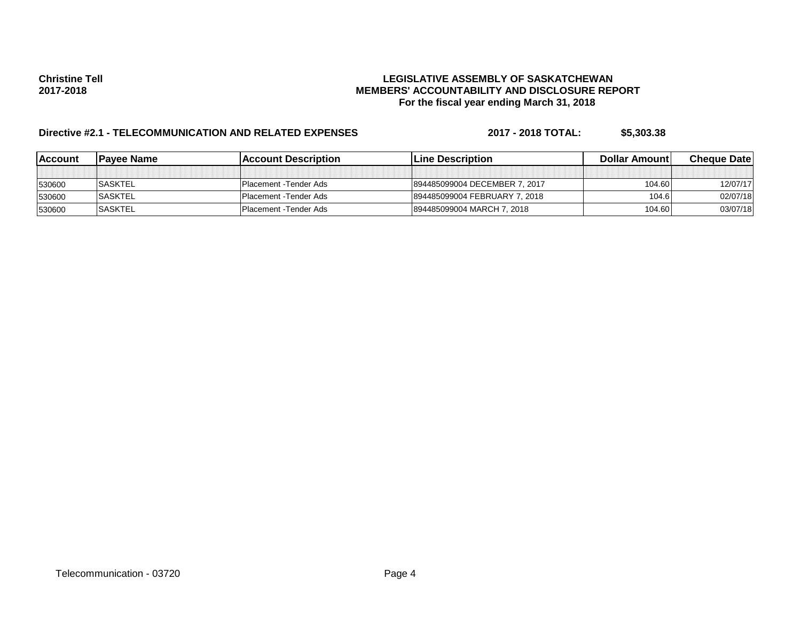| lAccount | <b>Pavee Name</b> | <b>Account Description</b> | <b>ILine Description</b>      | Dollar Amount | <b>Cheque Datel</b> |
|----------|-------------------|----------------------------|-------------------------------|---------------|---------------------|
|          |                   |                            |                               |               |                     |
| 530600   | <b>SASKTEL</b>    | Placement - Tender Ads     | 894485099004 DECEMBER 7, 2017 | 104.60        | 12/07/17            |
| 530600   | <b>SASKTEL</b>    | Placement - Tender Ads     | 894485099004 FEBRUARY 7, 2018 | 104.6         | 02/07/18            |
| 530600   | <b>SASKTEL</b>    | IPlacement - Tender Ads    | 894485099004 MARCH 7, 2018    | 104.60        | 03/07/18            |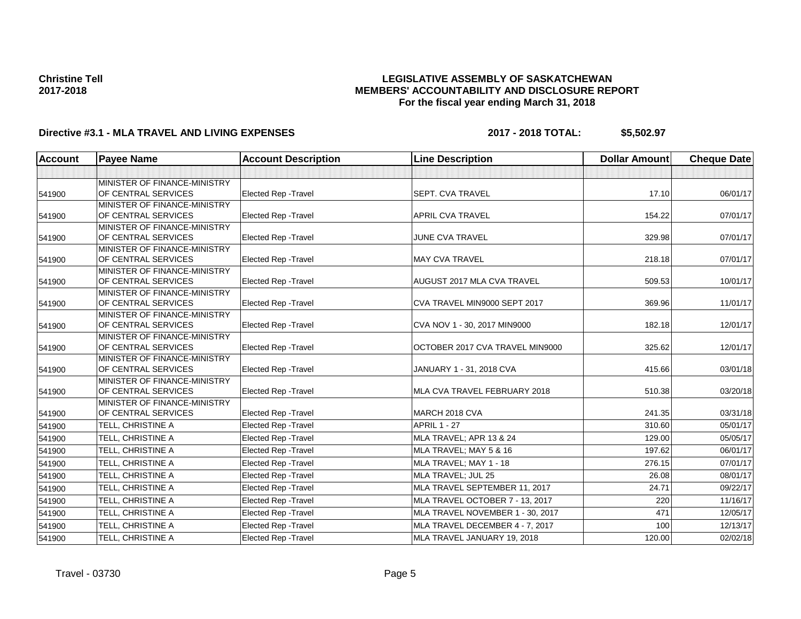### **LEGISLATIVE ASSEMBLY OF SASKATCHEWAN MEMBERS' ACCOUNTABILITY AND DISCLOSURE REPORT For the fiscal year ending March 31, 2018**

# **Directive #3.1 - MLA TRAVEL AND LIVING EXPENSES 2017 - 2018 TOTAL: \$5,502.97**

| Account | <b>Payee Name</b>                                   | <b>Account Description</b>  | <b>Line Description</b>          | <b>Dollar Amount</b> | <b>Cheque Date</b> |
|---------|-----------------------------------------------------|-----------------------------|----------------------------------|----------------------|--------------------|
|         |                                                     |                             |                                  |                      |                    |
| 541900  | MINISTER OF FINANCE-MINISTRY<br>OF CENTRAL SERVICES | <b>Elected Rep - Travel</b> | <b>SEPT. CVA TRAVEL</b>          | 17.10                | 06/01/17           |
| 541900  | MINISTER OF FINANCE-MINISTRY<br>OF CENTRAL SERVICES | Elected Rep - Travel        | <b>APRIL CVA TRAVEL</b>          | 154.22               | 07/01/17           |
| 541900  | MINISTER OF FINANCE-MINISTRY<br>OF CENTRAL SERVICES | Elected Rep - Travel        | <b>JUNE CVA TRAVEL</b>           | 329.98               | 07/01/17           |
| 541900  | MINISTER OF FINANCE-MINISTRY<br>OF CENTRAL SERVICES | <b>Elected Rep - Travel</b> | <b>MAY CVA TRAVEL</b>            | 218.18               | 07/01/17           |
| 541900  | MINISTER OF FINANCE-MINISTRY<br>OF CENTRAL SERVICES | <b>Elected Rep - Travel</b> | AUGUST 2017 MLA CVA TRAVEL       | 509.53               | 10/01/17           |
| 541900  | MINISTER OF FINANCE-MINISTRY<br>OF CENTRAL SERVICES | <b>Elected Rep - Travel</b> | CVA TRAVEL MIN9000 SEPT 2017     | 369.96               | 11/01/17           |
| 541900  | MINISTER OF FINANCE-MINISTRY<br>OF CENTRAL SERVICES | <b>Elected Rep - Travel</b> | CVA NOV 1 - 30, 2017 MIN9000     | 182.18               | 12/01/17           |
| 541900  | MINISTER OF FINANCE-MINISTRY<br>OF CENTRAL SERVICES | Elected Rep - Travel        | OCTOBER 2017 CVA TRAVEL MIN9000  | 325.62               | 12/01/17           |
| 541900  | MINISTER OF FINANCE-MINISTRY<br>OF CENTRAL SERVICES | <b>Elected Rep - Travel</b> | JANUARY 1 - 31, 2018 CVA         | 415.66               | 03/01/18           |
| 541900  | MINISTER OF FINANCE-MINISTRY<br>OF CENTRAL SERVICES | Elected Rep - Travel        | MLA CVA TRAVEL FEBRUARY 2018     | 510.38               | 03/20/18           |
| 541900  | MINISTER OF FINANCE-MINISTRY<br>OF CENTRAL SERVICES | <b>Elected Rep - Travel</b> | MARCH 2018 CVA                   | 241.35               | 03/31/18           |
| 541900  | TELL. CHRISTINE A                                   | <b>Elected Rep - Travel</b> | <b>APRIL 1 - 27</b>              | 310.60               | 05/01/17           |
| 541900  | TELL, CHRISTINE A                                   | Elected Rep - Travel        | MLA TRAVEL; APR 13 & 24          | 129.00               | 05/05/17           |
| 541900  | TELL, CHRISTINE A                                   | <b>Elected Rep - Travel</b> | MLA TRAVEL; MAY 5 & 16           | 197.62               | 06/01/17           |
| 541900  | TELL. CHRISTINE A                                   | Elected Rep - Travel        | MLA TRAVEL; MAY 1 - 18           | 276.15               | 07/01/17           |
| 541900  | TELL, CHRISTINE A                                   | Elected Rep - Travel        | MLA TRAVEL; JUL 25               | 26.08                | 08/01/17           |
| 541900  | TELL, CHRISTINE A                                   | <b>Elected Rep - Travel</b> | MLA TRAVEL SEPTEMBER 11, 2017    | 24.71                | 09/22/17           |
| 541900  | TELL, CHRISTINE A                                   | <b>Elected Rep - Travel</b> | MLA TRAVEL OCTOBER 7 - 13, 2017  | 220                  | 11/16/17           |
| 541900  | TELL, CHRISTINE A                                   | Elected Rep - Travel        | MLA TRAVEL NOVEMBER 1 - 30, 2017 | 471                  | 12/05/17           |
| 541900  | TELL, CHRISTINE A                                   | <b>Elected Rep - Travel</b> | MLA TRAVEL DECEMBER 4 - 7, 2017  | 100                  | 12/13/17           |
| 541900  | TELL, CHRISTINE A                                   | <b>Elected Rep - Travel</b> | MLA TRAVEL JANUARY 19, 2018      | 120.00               | 02/02/18           |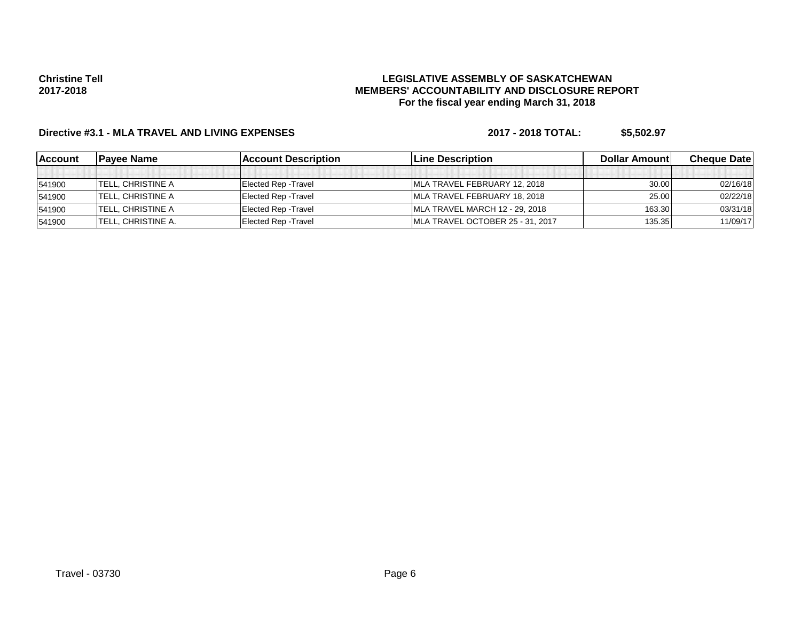### **LEGISLATIVE ASSEMBLY OF SASKATCHEWAN MEMBERS' ACCOUNTABILITY AND DISCLOSURE REPORT For the fiscal year ending March 31, 2018**

# **Directive #3.1 - MLA TRAVEL AND LIVING EXPENSES 2017 - 2018 TOTAL: \$5,502.97**

| <b>Account</b> | <b>Pavee Name</b>         | <b>Account Description</b>  | <b>Line Description</b>          | Dollar Amount | <b>Cheque Datel</b> |
|----------------|---------------------------|-----------------------------|----------------------------------|---------------|---------------------|
|                |                           |                             |                                  |               |                     |
| 541900         | TELL, CHRISTINE A         | <b>Elected Rep - Travel</b> | MLA TRAVEL FEBRUARY 12, 2018     | 30.00         | 02/16/18            |
| 541900         | <b>ITELL. CHRISTINE A</b> | <b>Elected Rep - Travel</b> | MLA TRAVEL FEBRUARY 18, 2018     | 25.00         | 02/22/18            |
| 541900         | <b>TELL, CHRISTINE A</b>  | <b>Elected Rep - Travel</b> | MLA TRAVEL MARCH 12 - 29, 2018   | 163.30        | 03/31/18            |
| 541900         | ITELL. CHRISTINE A.       | Elected Rep - Travel        | MLA TRAVEL OCTOBER 25 - 31, 2017 | 135.35        | 11/09/17            |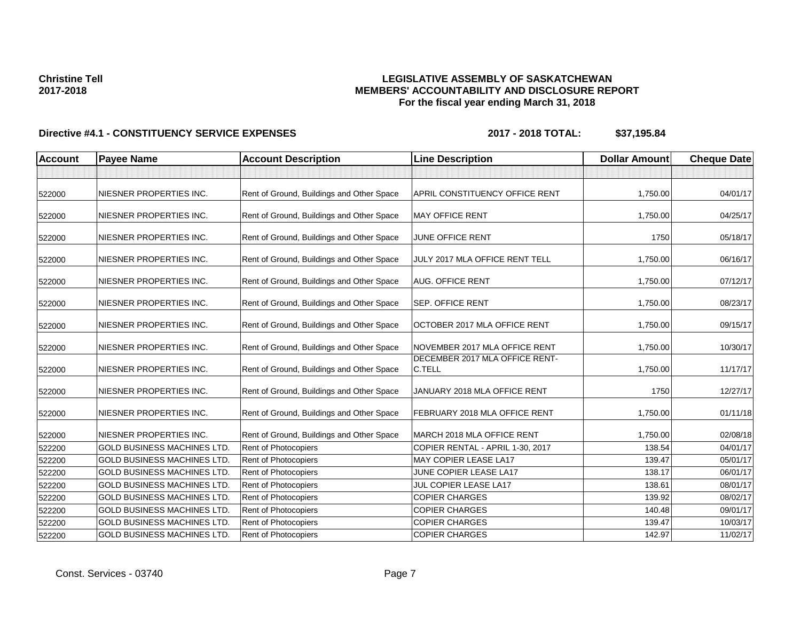### **LEGISLATIVE ASSEMBLY OF SASKATCHEWAN MEMBERS' ACCOUNTABILITY AND DISCLOSURE REPORT For the fiscal year ending March 31, 2018**

| <b>Account</b> | <b>Payee Name</b>                  | <b>Account Description</b>                | <b>Line Description</b>                  | <b>Dollar Amount</b> | <b>Cheque Date</b> |
|----------------|------------------------------------|-------------------------------------------|------------------------------------------|----------------------|--------------------|
|                |                                    |                                           |                                          |                      |                    |
| 522000         | NIESNER PROPERTIES INC.            | Rent of Ground, Buildings and Other Space | APRIL CONSTITUENCY OFFICE RENT           | 1,750.00             | 04/01/17           |
| 522000         | NIESNER PROPERTIES INC.            | Rent of Ground, Buildings and Other Space | <b>MAY OFFICE RENT</b>                   | 1,750.00             | 04/25/17           |
| 522000         | NIESNER PROPERTIES INC.            | Rent of Ground, Buildings and Other Space | <b>JUNE OFFICE RENT</b>                  | 1750                 | 05/18/17           |
| 522000         | NIESNER PROPERTIES INC.            | Rent of Ground, Buildings and Other Space | JULY 2017 MLA OFFICE RENT TELL           | 1,750.00             | 06/16/17           |
| 522000         | NIESNER PROPERTIES INC.            | Rent of Ground, Buildings and Other Space | AUG. OFFICE RENT                         | 1,750.00             | 07/12/17           |
| 522000         | NIESNER PROPERTIES INC.            | Rent of Ground, Buildings and Other Space | <b>SEP. OFFICE RENT</b>                  | 1,750.00             | 08/23/17           |
| 522000         | NIESNER PROPERTIES INC.            | Rent of Ground, Buildings and Other Space | OCTOBER 2017 MLA OFFICE RENT             | 1,750.00             | 09/15/17           |
| 522000         | NIESNER PROPERTIES INC.            | Rent of Ground, Buildings and Other Space | NOVEMBER 2017 MLA OFFICE RENT            | 1,750.00             | 10/30/17           |
| 522000         | NIESNER PROPERTIES INC.            | Rent of Ground, Buildings and Other Space | DECEMBER 2017 MLA OFFICE RENT-<br>C.TELL | 1,750.00             | 11/17/17           |
| 522000         | NIESNER PROPERTIES INC.            | Rent of Ground, Buildings and Other Space | JANUARY 2018 MLA OFFICE RENT             | 1750                 | 12/27/17           |
| 522000         | NIESNER PROPERTIES INC.            | Rent of Ground, Buildings and Other Space | FEBRUARY 2018 MLA OFFICE RENT            | 1,750.00             | 01/11/18           |
| 522000         | NIESNER PROPERTIES INC.            | Rent of Ground, Buildings and Other Space | MARCH 2018 MLA OFFICE RENT               | 1,750.00             | 02/08/18           |
| 522200         | <b>GOLD BUSINESS MACHINES LTD.</b> | <b>Rent of Photocopiers</b>               | COPIER RENTAL - APRIL 1-30, 2017         | 138.54               | 04/01/17           |
| 522200         | <b>GOLD BUSINESS MACHINES LTD</b>  | Rent of Photocopiers                      | MAY COPIER LEASE LA17                    | 139.47               | 05/01/17           |
| 522200         | <b>GOLD BUSINESS MACHINES LTD.</b> | Rent of Photocopiers                      | JUNE COPIER LEASE LA17                   | 138.17               | 06/01/17           |
| 522200         | <b>GOLD BUSINESS MACHINES LTD.</b> | Rent of Photocopiers                      | JUL COPIER LEASE LA17                    | 138.61               | 08/01/17           |
| 522200         | <b>GOLD BUSINESS MACHINES LTD.</b> | Rent of Photocopiers                      | <b>COPIER CHARGES</b>                    | 139.92               | 08/02/17           |
| 522200         | <b>GOLD BUSINESS MACHINES LTD.</b> | Rent of Photocopiers                      | <b>COPIER CHARGES</b>                    | 140.48               | 09/01/17           |
| 522200         | <b>GOLD BUSINESS MACHINES LTD</b>  | Rent of Photocopiers                      | <b>COPIER CHARGES</b>                    | 139.47               | 10/03/17           |
| 522200         | <b>GOLD BUSINESS MACHINES LTD.</b> | Rent of Photocopiers                      | <b>COPIER CHARGES</b>                    | 142.97               | 11/02/17           |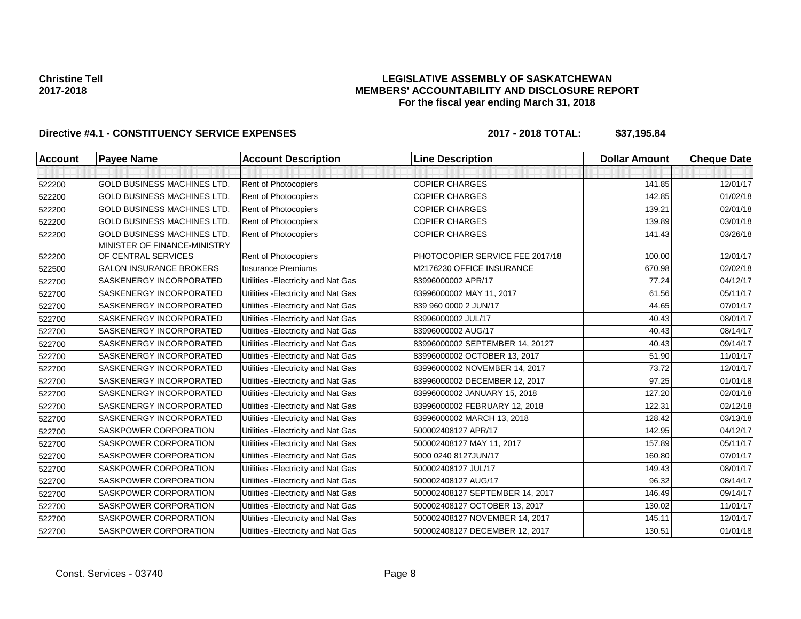### **LEGISLATIVE ASSEMBLY OF SASKATCHEWAN MEMBERS' ACCOUNTABILITY AND DISCLOSURE REPORT For the fiscal year ending March 31, 2018**

| <b>Account</b> | <b>Payee Name</b>                                   | <b>Account Description</b>          | <b>Line Description</b>         | <b>Dollar Amount</b> | <b>Cheque Date</b> |
|----------------|-----------------------------------------------------|-------------------------------------|---------------------------------|----------------------|--------------------|
|                |                                                     |                                     |                                 |                      |                    |
| 522200         | <b>GOLD BUSINESS MACHINES LTD.</b>                  | <b>Rent of Photocopiers</b>         | <b>COPIER CHARGES</b>           | 141.85               | 12/01/17           |
| 522200         | <b>GOLD BUSINESS MACHINES LTD.</b>                  | <b>Rent of Photocopiers</b>         | <b>COPIER CHARGES</b>           | 142.85               | 01/02/18           |
| 522200         | <b>GOLD BUSINESS MACHINES LTD.</b>                  | <b>Rent of Photocopiers</b>         | <b>COPIER CHARGES</b>           | 139.21               | 02/01/18           |
| 522200         | <b>GOLD BUSINESS MACHINES LTD.</b>                  | <b>Rent of Photocopiers</b>         | <b>COPIER CHARGES</b>           | 139.89               | 03/01/18           |
| 522200         | <b>GOLD BUSINESS MACHINES LTD</b>                   | Rent of Photocopiers                | <b>COPIER CHARGES</b>           | 141.43               | 03/26/18           |
| 522200         | MINISTER OF FINANCE-MINISTRY<br>OF CENTRAL SERVICES | <b>Rent of Photocopiers</b>         | PHOTOCOPIER SERVICE FEE 2017/18 | 100.00               | 12/01/17           |
| 522500         | <b>GALON INSURANCE BROKERS</b>                      | <b>Insurance Premiums</b>           | M2176230 OFFICE INSURANCE       | 670.98               | 02/02/18           |
| 522700         | SASKENERGY INCORPORATED                             | Utilities - Electricity and Nat Gas | 83996000002 APR/17              | 77.24                | 04/12/17           |
| 522700         | SASKENERGY INCORPORATED                             | Utilities - Electricity and Nat Gas | 83996000002 MAY 11, 2017        | 61.56                | 05/11/17           |
| 522700         | SASKENERGY INCORPORATED                             | Utilities - Electricity and Nat Gas | 839 960 0000 2 JUN/17           | 44.65                | 07/01/17           |
| 522700         | SASKENERGY INCORPORATED                             | Utilities - Electricity and Nat Gas | 83996000002 JUL/17              | 40.43                | 08/01/17           |
| 522700         | SASKENERGY INCORPORATED                             | Utilities - Electricity and Nat Gas | 83996000002 AUG/17              | 40.43                | 08/14/17           |
| 522700         | SASKENERGY INCORPORATED                             | Utilities - Electricity and Nat Gas | 83996000002 SEPTEMBER 14, 20127 | 40.43                | 09/14/17           |
| 522700         | SASKENERGY INCORPORATED                             | Utilities - Electricity and Nat Gas | 83996000002 OCTOBER 13, 2017    | 51.90                | 11/01/17           |
| 522700         | SASKENERGY INCORPORATED                             | Utilities - Electricity and Nat Gas | 83996000002 NOVEMBER 14, 2017   | 73.72                | 12/01/17           |
| 522700         | SASKENERGY INCORPORATED                             | Utilities - Electricity and Nat Gas | 83996000002 DECEMBER 12, 2017   | 97.25                | 01/01/18           |
| 522700         | SASKENERGY INCORPORATED                             | Utilities - Electricity and Nat Gas | 83996000002 JANUARY 15, 2018    | 127.20               | 02/01/18           |
| 522700         | SASKENERGY INCORPORATED                             | Utilities - Electricity and Nat Gas | 83996000002 FEBRUARY 12, 2018   | 122.31               | 02/12/18           |
| 522700         | SASKENERGY INCORPORATED                             | Utilities - Electricity and Nat Gas | 83996000002 MARCH 13, 2018      | 128.42               | 03/13/18           |
| 522700         | SASKPOWER CORPORATION                               | Utilities - Electricity and Nat Gas | 500002408127 APR/17             | 142.95               | 04/12/17           |
| 522700         | SASKPOWER CORPORATION                               | Utilities - Electricity and Nat Gas | 500002408127 MAY 11, 2017       | 157.89               | 05/11/17           |
| 522700         | SASKPOWER CORPORATION                               | Utilities - Electricity and Nat Gas | 5000 0240 8127JUN/17            | 160.80               | 07/01/17           |
| 522700         | SASKPOWER CORPORATION                               | Utilities - Electricity and Nat Gas | 500002408127 JUL/17             | 149.43               | 08/01/17           |
| 522700         | SASKPOWER CORPORATION                               | Utilities - Electricity and Nat Gas | 500002408127 AUG/17             | 96.32                | 08/14/17           |
| 522700         | SASKPOWER CORPORATION                               | Utilities - Electricity and Nat Gas | 500002408127 SEPTEMBER 14, 2017 | 146.49               | 09/14/17           |
| 522700         | SASKPOWER CORPORATION                               | Utilities - Electricity and Nat Gas | 500002408127 OCTOBER 13, 2017   | 130.02               | 11/01/17           |
| 522700         | SASKPOWER CORPORATION                               | Utilities - Electricity and Nat Gas | 500002408127 NOVEMBER 14, 2017  | 145.11               | 12/01/17           |
| 522700         | SASKPOWER CORPORATION                               | Utilities - Electricity and Nat Gas | 500002408127 DECEMBER 12, 2017  | 130.51               | 01/01/18           |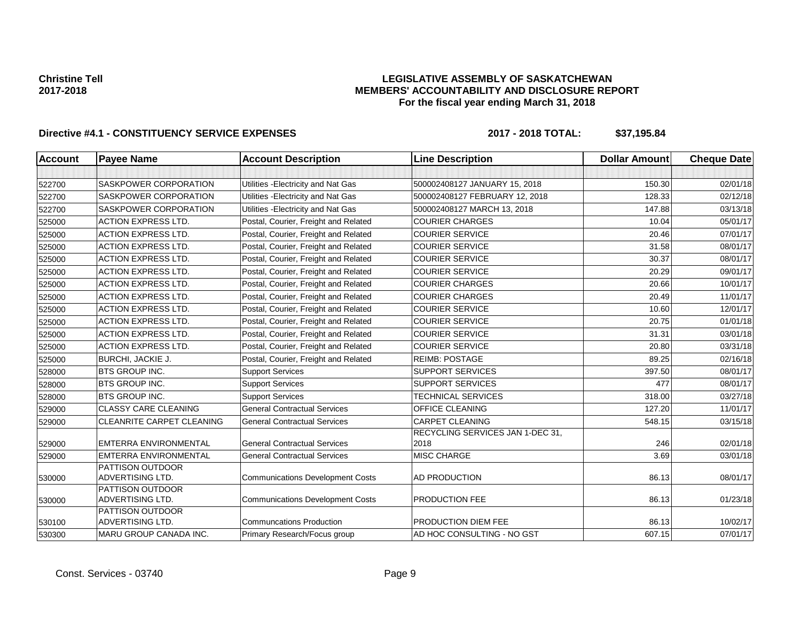### **LEGISLATIVE ASSEMBLY OF SASKATCHEWAN MEMBERS' ACCOUNTABILITY AND DISCLOSURE REPORT For the fiscal year ending March 31, 2018**

| <b>Account</b> | <b>Payee Name</b>                    | <b>Account Description</b>              | <b>Line Description</b>                  | <b>Dollar Amount</b> | <b>Cheque Date</b> |
|----------------|--------------------------------------|-----------------------------------------|------------------------------------------|----------------------|--------------------|
|                |                                      |                                         |                                          |                      |                    |
| 522700         | SASKPOWER CORPORATION                | Utilities - Electricity and Nat Gas     | 500002408127 JANUARY 15, 2018            | 150.30               | 02/01/18           |
| 522700         | SASKPOWER CORPORATION                | Utilities - Electricity and Nat Gas     | 500002408127 FEBRUARY 12, 2018           | 128.33               | 02/12/18           |
| 522700         | SASKPOWER CORPORATION                | Utilities - Electricity and Nat Gas     | 500002408127 MARCH 13, 2018              | 147.88               | 03/13/18           |
| 525000         | <b>ACTION EXPRESS LTD.</b>           | Postal, Courier, Freight and Related    | <b>COURIER CHARGES</b>                   | 10.04                | 05/01/17           |
| 525000         | <b>ACTION EXPRESS LTD.</b>           | Postal, Courier, Freight and Related    | <b>COURIER SERVICE</b>                   | 20.46                | 07/01/17           |
| 525000         | <b>ACTION EXPRESS LTD.</b>           | Postal, Courier, Freight and Related    | <b>COURIER SERVICE</b>                   | 31.58                | 08/01/17           |
| 525000         | <b>ACTION EXPRESS LTD.</b>           | Postal, Courier, Freight and Related    | <b>COURIER SERVICE</b>                   | 30.37                | 08/01/17           |
| 525000         | <b>ACTION EXPRESS LTD.</b>           | Postal, Courier, Freight and Related    | <b>COURIER SERVICE</b>                   | 20.29                | 09/01/17           |
| 525000         | <b>ACTION EXPRESS LTD.</b>           | Postal, Courier, Freight and Related    | <b>COURIER CHARGES</b>                   | 20.66                | 10/01/17           |
| 525000         | <b>ACTION EXPRESS LTD.</b>           | Postal, Courier, Freight and Related    | <b>COURIER CHARGES</b>                   | 20.49                | 11/01/17           |
| 525000         | <b>ACTION EXPRESS LTD.</b>           | Postal, Courier, Freight and Related    | <b>COURIER SERVICE</b>                   | 10.60                | 12/01/17           |
| 525000         | <b>ACTION EXPRESS LTD.</b>           | Postal, Courier, Freight and Related    | <b>COURIER SERVICE</b>                   | 20.75                | 01/01/18           |
| 525000         | <b>ACTION EXPRESS LTD.</b>           | Postal, Courier, Freight and Related    | <b>COURIER SERVICE</b>                   | 31.31                | 03/01/18           |
| 525000         | <b>ACTION EXPRESS LTD.</b>           | Postal, Courier, Freight and Related    | <b>COURIER SERVICE</b>                   | 20.80                | 03/31/18           |
| 525000         | <b>BURCHI, JACKIE J.</b>             | Postal, Courier, Freight and Related    | <b>REIMB: POSTAGE</b>                    | 89.25                | 02/16/18           |
| 528000         | BTS GROUP INC.                       | <b>Support Services</b>                 | <b>SUPPORT SERVICES</b>                  | 397.50               | 08/01/17           |
| 528000         | <b>BTS GROUP INC.</b>                | <b>Support Services</b>                 | <b>SUPPORT SERVICES</b>                  | 477                  | 08/01/17           |
| 528000         | <b>BTS GROUP INC.</b>                | <b>Support Services</b>                 | <b>TECHNICAL SERVICES</b>                | 318.00               | 03/27/18           |
| 529000         | <b>CLASSY CARE CLEANING</b>          | <b>General Contractual Services</b>     | <b>OFFICE CLEANING</b>                   | 127.20               | 11/01/17           |
| 529000         | <b>CLEANRITE CARPET CLEANING</b>     | <b>General Contractual Services</b>     | <b>CARPET CLEANING</b>                   | 548.15               | 03/15/18           |
| 529000         | <b>EMTERRA ENVIRONMENTAL</b>         | <b>General Contractual Services</b>     | RECYCLING SERVICES JAN 1-DEC 31,<br>2018 | 246                  | 02/01/18           |
| 529000         | EMTERRA ENVIRONMENTAL                | <b>General Contractual Services</b>     | MISC CHARGE                              | 3.69                 | 03/01/18           |
| 530000         | PATTISON OUTDOOR<br>ADVERTISING LTD. | <b>Communications Development Costs</b> | AD PRODUCTION                            | 86.13                | 08/01/17           |
| 530000         | PATTISON OUTDOOR<br>ADVERTISING LTD. | <b>Communications Development Costs</b> | PRODUCTION FEE                           | 86.13                | 01/23/18           |
| 530100         | PATTISON OUTDOOR<br>ADVERTISING LTD. | <b>Communcations Production</b>         | PRODUCTION DIEM FEE                      | 86.13                | 10/02/17           |
| 530300         | <b>MARU GROUP CANADA INC.</b>        | Primary Research/Focus group            | AD HOC CONSULTING - NO GST               | 607.15               | 07/01/17           |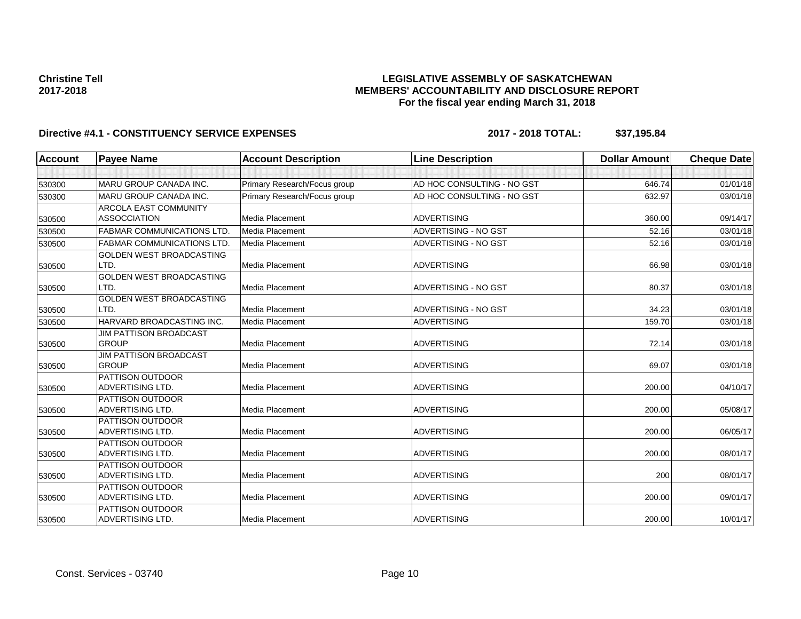### **LEGISLATIVE ASSEMBLY OF SASKATCHEWAN MEMBERS' ACCOUNTABILITY AND DISCLOSURE REPORT For the fiscal year ending March 31, 2018**

| Account | <b>Payee Name</b>                             | <b>Account Description</b>   | <b>Line Description</b>    | <b>Dollar Amount</b> | <b>Cheque Date</b> |
|---------|-----------------------------------------------|------------------------------|----------------------------|----------------------|--------------------|
|         |                                               |                              |                            |                      |                    |
| 530300  | MARU GROUP CANADA INC.                        | Primary Research/Focus group | AD HOC CONSULTING - NO GST | 646.74               | 01/01/18           |
| 530300  | MARU GROUP CANADA INC.                        | Primary Research/Focus group | AD HOC CONSULTING - NO GST | 632.97               | 03/01/18           |
|         | <b>ARCOLA EAST COMMUNITY</b>                  |                              |                            |                      |                    |
| 530500  | <b>ASSOCCIATION</b>                           | Media Placement              | <b>ADVERTISING</b>         | 360.00               | 09/14/17           |
| 530500  | <b>FABMAR COMMUNICATIONS LTD.</b>             | Media Placement              | ADVERTISING - NO GST       | 52.16                | 03/01/18           |
| 530500  | <b>FABMAR COMMUNICATIONS LTD.</b>             | Media Placement              | ADVERTISING - NO GST       | 52.16                | 03/01/18           |
|         | <b>GOLDEN WEST BROADCASTING</b>               |                              |                            |                      |                    |
| 530500  | LTD.                                          | Media Placement              | <b>ADVERTISING</b>         | 66.98                | 03/01/18           |
|         | <b>GOLDEN WEST BROADCASTING</b>               |                              |                            |                      |                    |
| 530500  | LTD.                                          | Media Placement              | ADVERTISING - NO GST       | 80.37                | 03/01/18           |
|         | <b>GOLDEN WEST BROADCASTING</b>               |                              |                            |                      |                    |
| 530500  | LTD.                                          | Media Placement              | ADVERTISING - NO GST       | 34.23                | 03/01/18           |
| 530500  | HARVARD BROADCASTING INC.                     | Media Placement              | <b>ADVERTISING</b>         | 159.70               | 03/01/18           |
|         | <b>JIM PATTISON BROADCAST</b>                 |                              |                            |                      |                    |
| 530500  | <b>GROUP</b>                                  | Media Placement              | <b>ADVERTISING</b>         | 72.14                | 03/01/18           |
|         | <b>JIM PATTISON BROADCAST</b><br><b>GROUP</b> |                              |                            |                      |                    |
| 530500  | PATTISON OUTDOOR                              | Media Placement              | <b>ADVERTISING</b>         | 69.07                | 03/01/18           |
| 530500  | <b>ADVERTISING LTD.</b>                       | Media Placement              | <b>ADVERTISING</b>         | 200.00               | 04/10/17           |
|         | <b>PATTISON OUTDOOR</b>                       |                              |                            |                      |                    |
| 530500  | ADVERTISING LTD.                              | Media Placement              | <b>ADVERTISING</b>         | 200.00               | 05/08/17           |
|         | <b>PATTISON OUTDOOR</b>                       |                              |                            |                      |                    |
| 530500  | <b>ADVERTISING LTD.</b>                       | <b>Media Placement</b>       | <b>ADVERTISING</b>         | 200.00               | 06/05/17           |
|         | PATTISON OUTDOOR                              |                              |                            |                      |                    |
| 530500  | <b>ADVERTISING LTD.</b>                       | Media Placement              | <b>ADVERTISING</b>         | 200.00               | 08/01/17           |
|         | <b>PATTISON OUTDOOR</b>                       |                              |                            |                      |                    |
| 530500  | <b>ADVERTISING LTD.</b>                       | Media Placement              | <b>ADVERTISING</b>         | 200                  | 08/01/17           |
|         | PATTISON OUTDOOR                              |                              |                            |                      |                    |
| 530500  | ADVERTISING LTD.                              | Media Placement              | <b>ADVERTISING</b>         | 200.00               | 09/01/17           |
|         | <b>PATTISON OUTDOOR</b>                       |                              |                            |                      |                    |
| 530500  | ADVERTISING LTD.                              | Media Placement              | <b>ADVERTISING</b>         | 200.00               | 10/01/17           |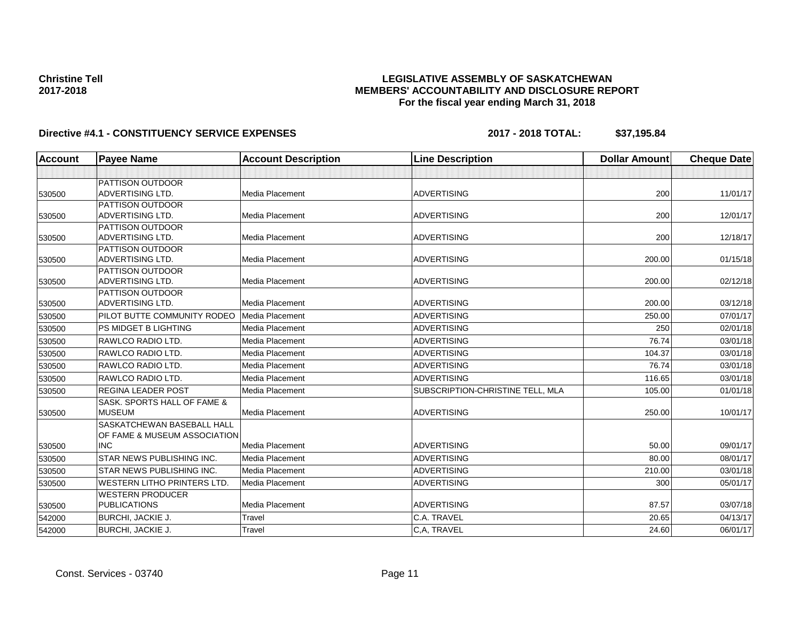### **LEGISLATIVE ASSEMBLY OF SASKATCHEWAN MEMBERS' ACCOUNTABILITY AND DISCLOSURE REPORT For the fiscal year ending March 31, 2018**

| <b>Account</b> | <b>Payee Name</b>                                                        | <b>Account Description</b> | <b>Line Description</b>          | <b>Dollar Amount</b> | <b>Cheque Date</b> |
|----------------|--------------------------------------------------------------------------|----------------------------|----------------------------------|----------------------|--------------------|
|                |                                                                          |                            |                                  |                      |                    |
| 530500         | <b>PATTISON OUTDOOR</b><br><b>ADVERTISING LTD.</b>                       | Media Placement            | <b>ADVERTISING</b>               | 200                  | 11/01/17           |
| 530500         | <b>PATTISON OUTDOOR</b><br><b>ADVERTISING LTD.</b>                       | <b>Media Placement</b>     | <b>ADVERTISING</b>               | 200                  | 12/01/17           |
| 530500         | PATTISON OUTDOOR<br><b>ADVERTISING LTD.</b>                              | <b>Media Placement</b>     | <b>ADVERTISING</b>               | 200                  | 12/18/17           |
| 530500         | PATTISON OUTDOOR<br>ADVERTISING LTD.                                     | Media Placement            | <b>ADVERTISING</b>               | 200.00               | 01/15/18           |
| 530500         | <b>PATTISON OUTDOOR</b><br>ADVERTISING LTD.                              | <b>Media Placement</b>     | <b>ADVERTISING</b>               | 200.00               | 02/12/18           |
| 530500         | <b>PATTISON OUTDOOR</b><br>ADVERTISING LTD.                              | Media Placement            | <b>ADVERTISING</b>               | 200.00               | 03/12/18           |
| 530500         | PILOT BUTTE COMMUNITY RODEO                                              | Media Placement            | <b>ADVERTISING</b>               | 250.00               | 07/01/17           |
| 530500         | <b>PS MIDGET B LIGHTING</b>                                              | Media Placement            | <b>ADVERTISING</b>               | 250                  | 02/01/18           |
| 530500         | RAWLCO RADIO LTD.                                                        | <b>Media Placement</b>     | <b>ADVERTISING</b>               | 76.74                | 03/01/18           |
| 530500         | RAWLCO RADIO LTD.                                                        | <b>Media Placement</b>     | <b>ADVERTISING</b>               | 104.37               | 03/01/18           |
| 530500         | RAWLCO RADIO LTD.                                                        | Media Placement            | <b>ADVERTISING</b>               | 76.74                | 03/01/18           |
| 530500         | RAWLCO RADIO LTD.                                                        | Media Placement            | <b>ADVERTISING</b>               | 116.65               | 03/01/18           |
| 530500         | <b>REGINA LEADER POST</b>                                                | Media Placement            | SUBSCRIPTION-CHRISTINE TELL, MLA | 105.00               | 01/01/18           |
| 530500         | SASK, SPORTS HALL OF FAME &<br><b>MUSEUM</b>                             | <b>Media Placement</b>     | <b>ADVERTISING</b>               | 250.00               | 10/01/17           |
| 530500         | SASKATCHEWAN BASEBALL HALL<br>OF FAME & MUSEUM ASSOCIATION<br><b>INC</b> | Media Placement            | <b>ADVERTISING</b>               | 50.00                | 09/01/17           |
| 530500         | <b>STAR NEWS PUBLISHING INC.</b>                                         | Media Placement            | <b>ADVERTISING</b>               | 80.00                | 08/01/17           |
| 530500         | STAR NEWS PUBLISHING INC.                                                | Media Placement            | <b>ADVERTISING</b>               | 210.00               | 03/01/18           |
| 530500         | <b>WESTERN LITHO PRINTERS LTD.</b>                                       | Media Placement            | <b>ADVERTISING</b>               | 300                  | 05/01/17           |
| 530500         | <b>WESTERN PRODUCER</b><br><b>PUBLICATIONS</b>                           | <b>Media Placement</b>     | <b>ADVERTISING</b>               | 87.57                | 03/07/18           |
| 542000         | <b>BURCHI, JACKIE J.</b>                                                 | Travel                     | C.A. TRAVEL                      | 20.65                | 04/13/17           |
| 542000         | BURCHI, JACKIE J.                                                        | <b>Travel</b>              | C,A, TRAVEL                      | 24.60                | 06/01/17           |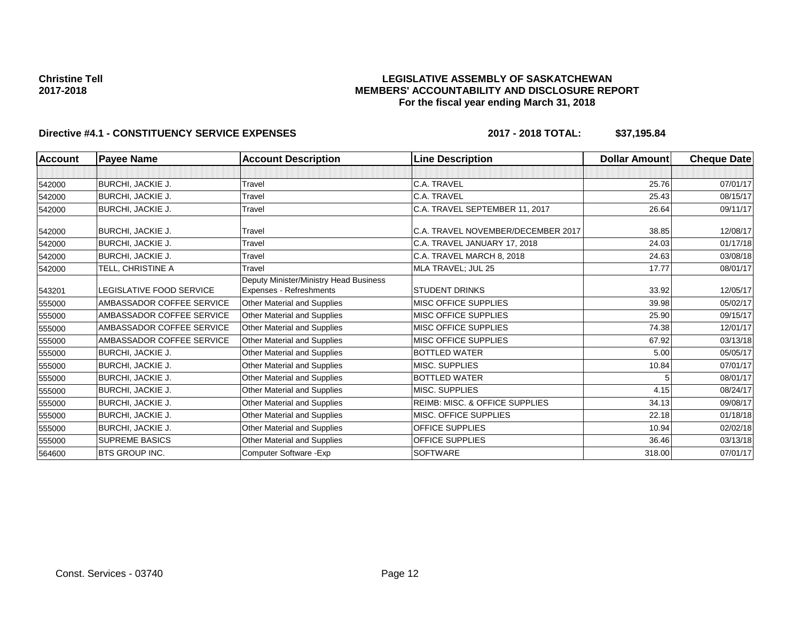### **LEGISLATIVE ASSEMBLY OF SASKATCHEWAN MEMBERS' ACCOUNTABILITY AND DISCLOSURE REPORT For the fiscal year ending March 31, 2018**

| <b>Account</b> | <b>Payee Name</b>         | <b>Account Description</b>                                               | <b>Line Description</b>                   | <b>Dollar Amount</b> | <b>Cheque Date</b> |
|----------------|---------------------------|--------------------------------------------------------------------------|-------------------------------------------|----------------------|--------------------|
|                |                           |                                                                          |                                           |                      |                    |
| 542000         | BURCHI, JACKIE J.         | Travel                                                                   | C.A. TRAVEL                               | 25.76                | 07/01/17           |
| 542000         | <b>BURCHI, JACKIE J.</b>  | Travel                                                                   | C.A. TRAVEL                               | 25.43                | 08/15/17           |
| 542000         | <b>BURCHI, JACKIE J.</b>  | Travel                                                                   | C.A. TRAVEL SEPTEMBER 11, 2017            | 26.64                | 09/11/17           |
| 542000         | <b>BURCHI, JACKIE J.</b>  | Travel                                                                   | C.A. TRAVEL NOVEMBER/DECEMBER 2017        | 38.85                | 12/08/17           |
| 542000         | BURCHI, JACKIE J.         | Travel                                                                   | C.A. TRAVEL JANUARY 17, 2018              | 24.03                | 01/17/18           |
| 542000         | <b>BURCHI, JACKIE J.</b>  | Travel                                                                   | C.A. TRAVEL MARCH 8, 2018                 | 24.63                | 03/08/18           |
| 542000         | TELL, CHRISTINE A         | Travel                                                                   | MLA TRAVEL; JUL 25                        | 17.77                | 08/01/17           |
| 543201         | LEGISLATIVE FOOD SERVICE  | Deputy Minister/Ministry Head Business<br><b>Expenses - Refreshments</b> | <b>STUDENT DRINKS</b>                     | 33.92                | 12/05/17           |
| 555000         | AMBASSADOR COFFEE SERVICE | <b>Other Material and Supplies</b>                                       | <b>MISC OFFICE SUPPLIES</b>               | 39.98                | 05/02/17           |
| 555000         | AMBASSADOR COFFEE SERVICE | Other Material and Supplies                                              | <b>MISC OFFICE SUPPLIES</b>               | 25.90                | 09/15/17           |
| 555000         | AMBASSADOR COFFEE SERVICE | Other Material and Supplies                                              | <b>MISC OFFICE SUPPLIES</b>               | 74.38                | 12/01/17           |
| 555000         | AMBASSADOR COFFEE SERVICE | Other Material and Supplies                                              | <b>MISC OFFICE SUPPLIES</b>               | 67.92                | 03/13/18           |
| 555000         | <b>BURCHI, JACKIE J.</b>  | Other Material and Supplies                                              | <b>BOTTLED WATER</b>                      | 5.00                 | 05/05/17           |
| 555000         | <b>BURCHI, JACKIE J.</b>  | Other Material and Supplies                                              | MISC. SUPPLIES                            | 10.84                | 07/01/17           |
| 555000         | <b>BURCHI, JACKIE J.</b>  | Other Material and Supplies                                              | <b>BOTTLED WATER</b>                      |                      | 08/01/17           |
| 555000         | <b>BURCHI, JACKIE J.</b>  | Other Material and Supplies                                              | MISC. SUPPLIES                            | 4.15                 | 08/24/17           |
| 555000         | <b>BURCHI, JACKIE J.</b>  | Other Material and Supplies                                              | <b>REIMB: MISC. &amp; OFFICE SUPPLIES</b> | 34.13                | 09/08/17           |
| 555000         | <b>BURCHI, JACKIE J.</b>  | Other Material and Supplies                                              | MISC. OFFICE SUPPLIES                     | 22.18                | 01/18/18           |
| 555000         | BURCHI, JACKIE J.         | Other Material and Supplies                                              | <b>OFFICE SUPPLIES</b>                    | 10.94                | 02/02/18           |
| 555000         | <b>SUPREME BASICS</b>     | Other Material and Supplies                                              | OFFICE SUPPLIES                           | 36.46                | 03/13/18           |
| 564600         | <b>BTS GROUP INC.</b>     | Computer Software - Exp                                                  | <b>SOFTWARE</b>                           | 318.00               | 07/01/17           |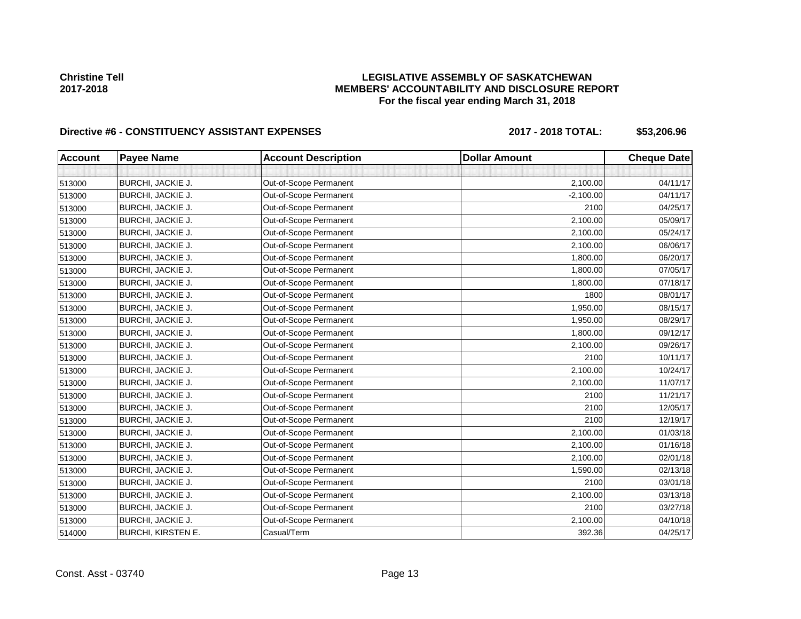### **LEGISLATIVE ASSEMBLY OF SASKATCHEWAN MEMBERS' ACCOUNTABILITY AND DISCLOSURE REPORT For the fiscal year ending March 31, 2018**

# Directive #6 - CONSTITUENCY ASSISTANT EXPENSES 2017 - 2018 TOTAL: \$53,206.96

| <b>Account</b> | <b>Payee Name</b>         | <b>Account Description</b> | <b>Dollar Amount</b> | <b>Cheque Date</b> |
|----------------|---------------------------|----------------------------|----------------------|--------------------|
|                |                           |                            |                      |                    |
| 513000         | <b>BURCHI, JACKIE J.</b>  | Out-of-Scope Permanent     | 2,100.00             | 04/11/17           |
| 513000         | BURCHI, JACKIE J.         | Out-of-Scope Permanent     | $-2,100.00$          | 04/11/17           |
| 513000         | BURCHI, JACKIE J.         | Out-of-Scope Permanent     | 2100                 | 04/25/17           |
| 513000         | BURCHI, JACKIE J.         | Out-of-Scope Permanent     | 2,100.00             | 05/09/17           |
| 513000         | BURCHI, JACKIE J.         | Out-of-Scope Permanent     | 2,100.00             | 05/24/17           |
| 513000         | BURCHI, JACKIE J.         | Out-of-Scope Permanent     | 2,100.00             | 06/06/17           |
| 513000         | BURCHI, JACKIE J.         | Out-of-Scope Permanent     | 1,800.00             | 06/20/17           |
| 513000         | BURCHI, JACKIE J.         | Out-of-Scope Permanent     | 1,800.00             | 07/05/17           |
| 513000         | BURCHI, JACKIE J.         | Out-of-Scope Permanent     | 1,800.00             | 07/18/17           |
| 513000         | BURCHI, JACKIE J.         | Out-of-Scope Permanent     | 1800                 | 08/01/17           |
| 513000         | BURCHI, JACKIE J.         | Out-of-Scope Permanent     | 1,950.00             | 08/15/17           |
| 513000         | BURCHI, JACKIE J.         | Out-of-Scope Permanent     | 1,950.00             | 08/29/17           |
| 513000         | <b>BURCHI, JACKIE J.</b>  | Out-of-Scope Permanent     | 1,800.00             | 09/12/17           |
| 513000         | BURCHI, JACKIE J.         | Out-of-Scope Permanent     | 2,100.00             | 09/26/17           |
| 513000         | <b>BURCHI, JACKIE J.</b>  | Out-of-Scope Permanent     | 2100                 | 10/11/17           |
| 513000         | BURCHI, JACKIE J.         | Out-of-Scope Permanent     | 2,100.00             | 10/24/17           |
| 513000         | <b>BURCHI, JACKIE J.</b>  | Out-of-Scope Permanent     | 2,100.00             | 11/07/17           |
| 513000         | BURCHI, JACKIE J.         | Out-of-Scope Permanent     | 2100                 | 11/21/17           |
| 513000         | BURCHI, JACKIE J.         | Out-of-Scope Permanent     | 2100                 | 12/05/17           |
| 513000         | BURCHI, JACKIE J.         | Out-of-Scope Permanent     | 2100                 | 12/19/17           |
| 513000         | BURCHI, JACKIE J.         | Out-of-Scope Permanent     | 2,100.00             | 01/03/18           |
| 513000         | BURCHI, JACKIE J.         | Out-of-Scope Permanent     | 2,100.00             | 01/16/18           |
| 513000         | BURCHI, JACKIE J.         | Out-of-Scope Permanent     | 2,100.00             | 02/01/18           |
| 513000         | BURCHI, JACKIE J.         | Out-of-Scope Permanent     | 1,590.00             | 02/13/18           |
| 513000         | BURCHI, JACKIE J.         | Out-of-Scope Permanent     | 2100                 | 03/01/18           |
| 513000         | BURCHI, JACKIE J.         | Out-of-Scope Permanent     | 2,100.00             | 03/13/18           |
| 513000         | BURCHI, JACKIE J.         | Out-of-Scope Permanent     | 2100                 | 03/27/18           |
| 513000         | BURCHI, JACKIE J.         | Out-of-Scope Permanent     | 2,100.00             | 04/10/18           |
| 514000         | <b>BURCHI, KIRSTEN E.</b> | Casual/Term                | 392.36               | 04/25/17           |